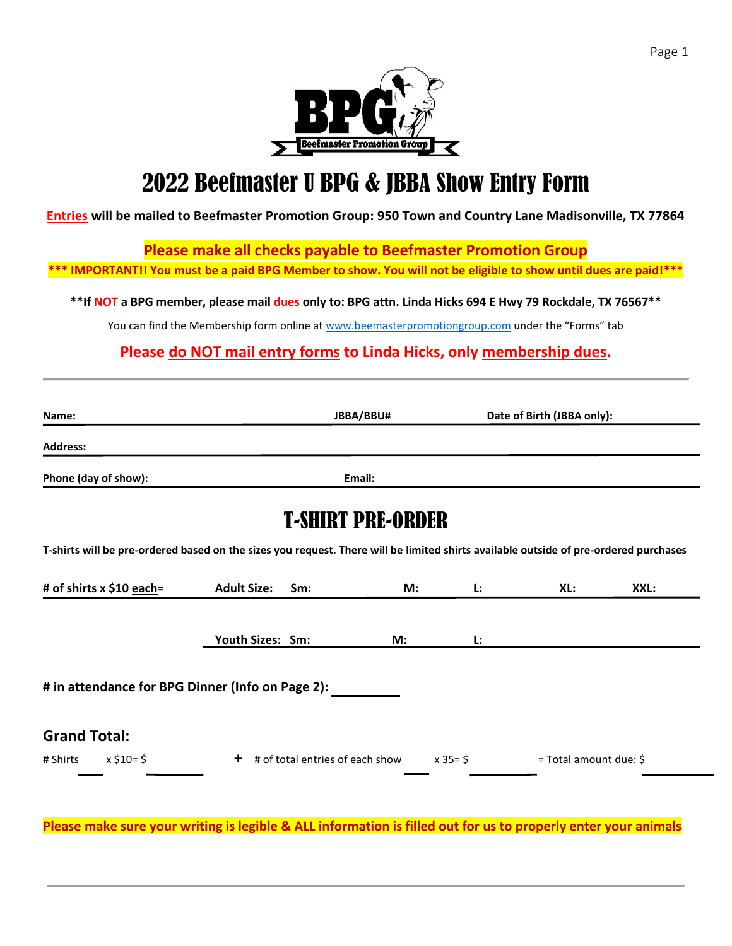

# 2022 Beefmaster U BPG & JBBA Show Entry Form

**Entries will be mailed to Beefmaster Promotion Group: 950 Town and Country Lane Madisonville, TX 77864**

**Please make all checks payable to Beefmaster Promotion Group**

**\*\*\* IMPORTANT!! You must be a paid BPG Member to show. You will not be eligible to show until dues are paid!\*\*\***

**\*\*If NOT a BPG member, please mail dues only to: BPG attn. Linda Hicks 694 E Hwy 79 Rockdale, TX 76567\*\***

You can find the Membership form online a[t www.beemasterpromotiongroup.com](http://www.beemasterpromotiongroup.com/) under the "Forms" tab

**Please do NOT mail entry forms to Linda Hicks, only membership dues.** 

| Name:                                            |                                                                                                                                      | JBBA/BBU#                |            | Date of Birth (JBBA only): |      |  |
|--------------------------------------------------|--------------------------------------------------------------------------------------------------------------------------------------|--------------------------|------------|----------------------------|------|--|
| <b>Address:</b>                                  |                                                                                                                                      |                          |            |                            |      |  |
| Phone (day of show):                             |                                                                                                                                      | Email:                   |            |                            |      |  |
|                                                  |                                                                                                                                      | <b>T-SHIRT PRE-ORDER</b> |            |                            |      |  |
|                                                  | T-shirts will be pre-ordered based on the sizes you request. There will be limited shirts available outside of pre-ordered purchases |                          |            |                            |      |  |
| # of shirts x \$10 each=                         | <b>Adult Size:</b><br>Sm:                                                                                                            | M:                       | Ŀ.         | XL:                        | XXL: |  |
|                                                  | Youth Sizes: Sm:                                                                                                                     | M:                       | Ŀ.         |                            |      |  |
| # in attendance for BPG Dinner (Info on Page 2): |                                                                                                                                      |                          |            |                            |      |  |
| <b>Grand Total:</b>                              |                                                                                                                                      |                          |            |                            |      |  |
| $x \xi 10 = \xi$<br># Shirts                     | $+$ # of total entries of each show                                                                                                  |                          | $x 35 = $$ | = Total amount due: \$     |      |  |
|                                                  |                                                                                                                                      |                          |            |                            |      |  |

**Please make sure your writing is legible & ALL information is filled out for us to properly enter your animals**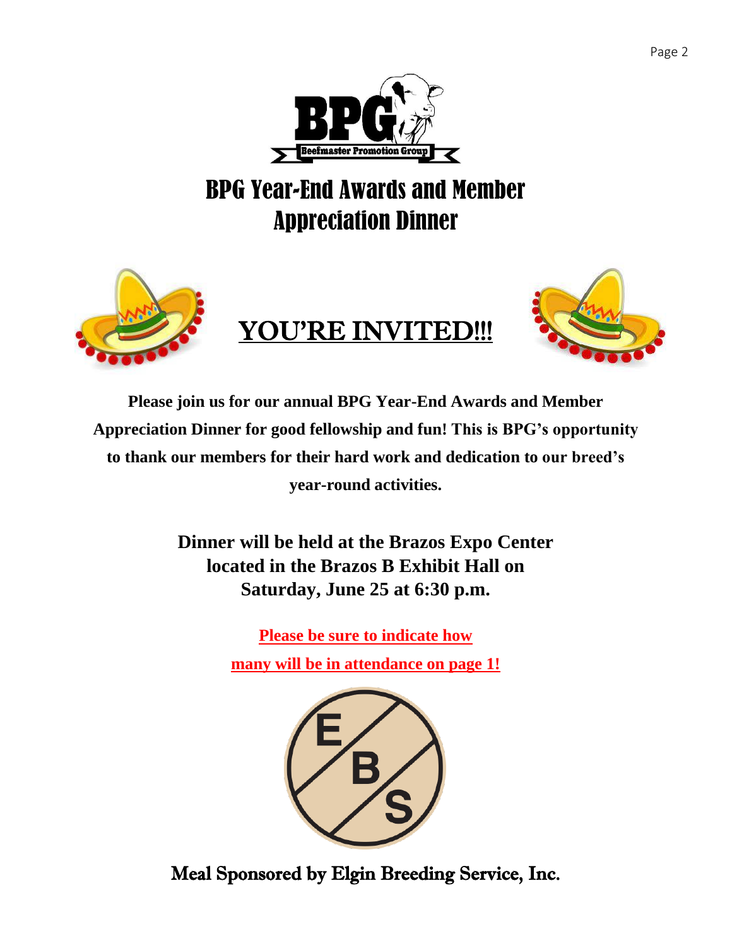

# BPG Year-End Awards and Member Appreciation Dinner



**Please join us for our annual BPG Year-End Awards and Member Appreciation Dinner for good fellowship and fun! This is BPG's opportunity to thank our members for their hard work and dedication to our breed's year-round activities.**

> **Dinner will be held at the Brazos Expo Center located in the Brazos B Exhibit Hall on Saturday, June 25 at 6:30 p.m.**

> > **Please be sure to indicate how**

**many will be in attendance on page 1!**



Meal Sponsored by Elgin Breeding Service, Inc.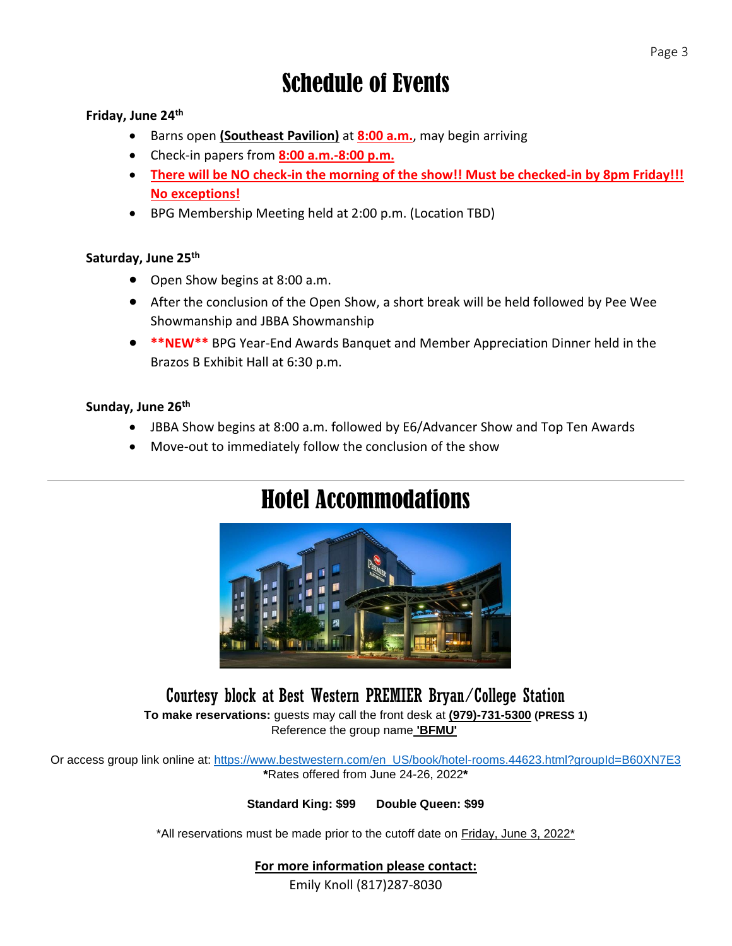## **Friday, June 24th**

- Barns open **(Southeast Pavilion)** at **8:00 a.m.**, may begin arriving
- Check-in papers from **8:00 a.m.-8:00 p.m.**
- **There will be NO check-in the morning of the show!! Must be checked-in by 8pm Friday!!! No exceptions!**
- BPG Membership Meeting held at 2:00 p.m. (Location TBD)

### **Saturday, June 25th**

- Open Show begins at 8:00 a.m.
- After the conclusion of the Open Show, a short break will be held followed by Pee Wee Showmanship and JBBA Showmanship
- **\*\*NEW\*\*** BPG Year-End Awards Banquet and Member Appreciation Dinner held in the Brazos B Exhibit Hall at 6:30 p.m.

### **Sunday, June 26th**

- JBBA Show begins at 8:00 a.m. followed by E6/Advancer Show and Top Ten Awards
- Move-out to immediately follow the conclusion of the show

# Hotel Accommodations



## Courtesy block at Best Western PREMIER Bryan/College Station **To make reservations:** guests may call the front desk at **(979)-731-5300 (PRESS 1)** Reference the group name **'BFMU'**

Or access group link online at: [https://www.bestwestern.com/en\\_US/book/hotel-rooms.44623.html?groupId=B60XN7E3](https://www.bestwestern.com/en_US/book/hotel-rooms.44623.html?groupId=B60XN7E3) **\***Rates offered from June 24-26, 2022**\***

**Standard King: \$99 Double Queen: \$99** 

\*All reservations must be made prior to the cutoff date on Friday, June 3, 2022\*

### **For more information please contact:**

Emily Knoll (817)287-8030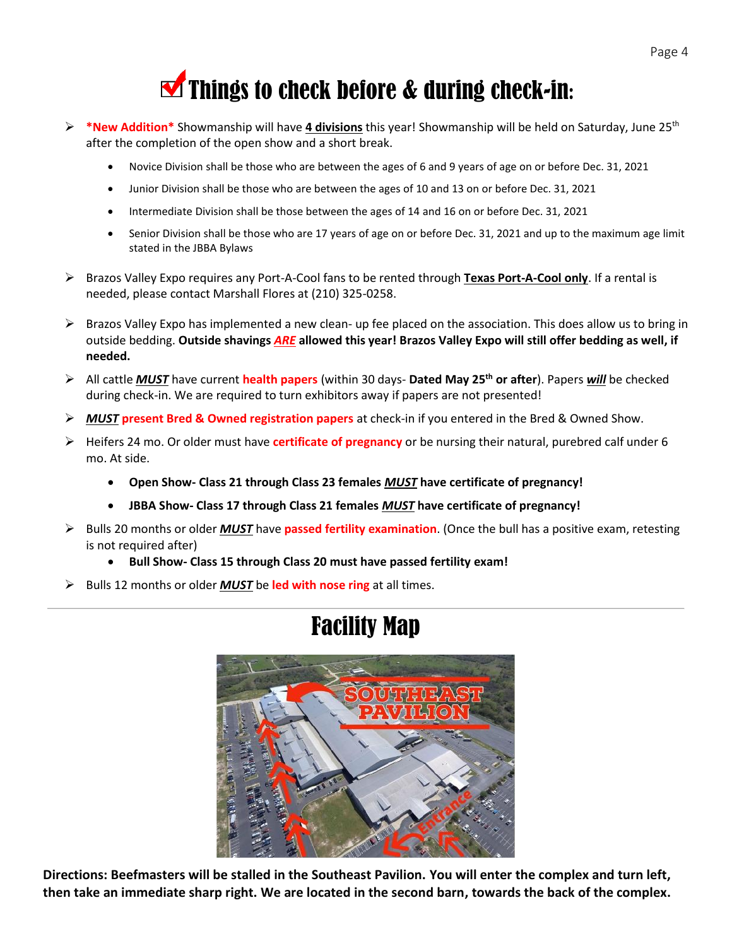

- ➢ **\*New Additio[n\\*](https://en.wikipedia.org/wiki/File:Red_Checkmark.svg)** Showmanship will have **4 divisions** this year! Showmanship will be held on Saturday, June 25th after the com[pleti](https://en.wikipedia.org/wiki/File:Red_Checkmark.svg)on of the open show and a short break.
	- Novice [Di](https://en.wikipedia.org/wiki/File:Red_Checkmark.svg)vision shall be those who are between the ages of 6 and 9 years of age on or before Dec. 31, 2021
	- Junior Division shall be those who are between the ages of 10 and 13 on or before Dec. 31, 2021
	- Intermediate Division shall be those between the ages of 14 and 16 on or before Dec. 31, 2021
	- Senior Division shall be those who are 17 years of age on or before Dec. 31, 2021 and up to the maximum age limit stated in the JBBA Bylaws
- ➢ Brazos Valley Expo requires any Port-A-Cool fans to be rented through **Texas Port-A-Cool only**. If a rental is needed, please contact Marshall Flores at (210) 325-0258.
- $\triangleright$  Brazos Valley Expo has implemented a new clean- up fee placed on the association. This does allow us to bring in outside bedding. **Outside shavings** *ARE* **allowed this year! Brazos Valley Expo will still offer bedding as well, if needed.**
- ➢ All cattle *MUST* have current **health papers** (within 30 days- **Dated May 25 th or after**). Papers *will* be checked during check-in. We are required to turn exhibitors away if papers are not presented!
- ➢ *MUST* **present [Bre](https://creativecommons.org/licenses/by-sa/3.0/)d & Owned registration papers** at check-in if you entered in the Bred & Owned Show.
- ➢ Heifers 24 mo. [Or](https://creativecommons.org/licenses/by-sa/3.0/) older must have **certificate of pregnancy** or be nursing their natural, purebred calf under 6 mo. At side.
	- **Open [Sho](https://creativecommons.org/licenses/by-sa/3.0/)w- Class 21 through Class 23 females** *MUST* **have certificate of pregnancy!**
	- **JBBA Show- Class 17 through Class 21 females** *MUST* **have certificate of pregnancy!**
- ➢ Bulls 20 months or older *MUST* have **passed fertility examination**. (Once the bull has a positive exam, retesting is not required after)
	- **Bull Show- Class 15 through Class 20 must have passed fertility exam!**
- ➢ Bulls 12 months or older *MUST* be **led with nose ring** at all times.



# Facility Map

**Directions: Beefmasters will be stalled in the Southeast Pavilion. You will enter the complex and turn left, then take an immediate sharp right. We are located in the second barn, towards the back of the complex.**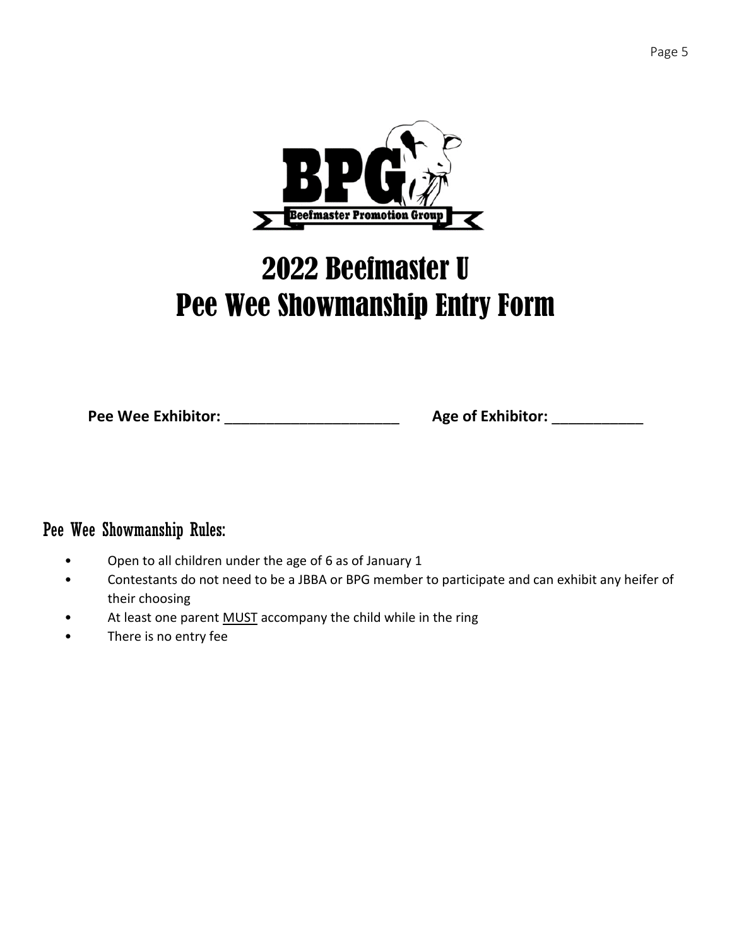

# 2022 Beefmaster U Pee Wee Showmanship Entry Form

**Pee Wee Exhibitor:** \_\_\_\_\_\_\_\_\_\_\_\_\_\_\_\_\_\_\_\_\_ **Age of Exhibitor:** \_\_\_\_\_\_\_\_\_\_\_

## Pee Wee Showmanship Rules:

- Open to all children under the age of 6 as of January 1
- Contestants do not need to be a JBBA or BPG member to participate and can exhibit any heifer of their choosing
- At least one parent MUST accompany the child while in the ring
- There is no entry fee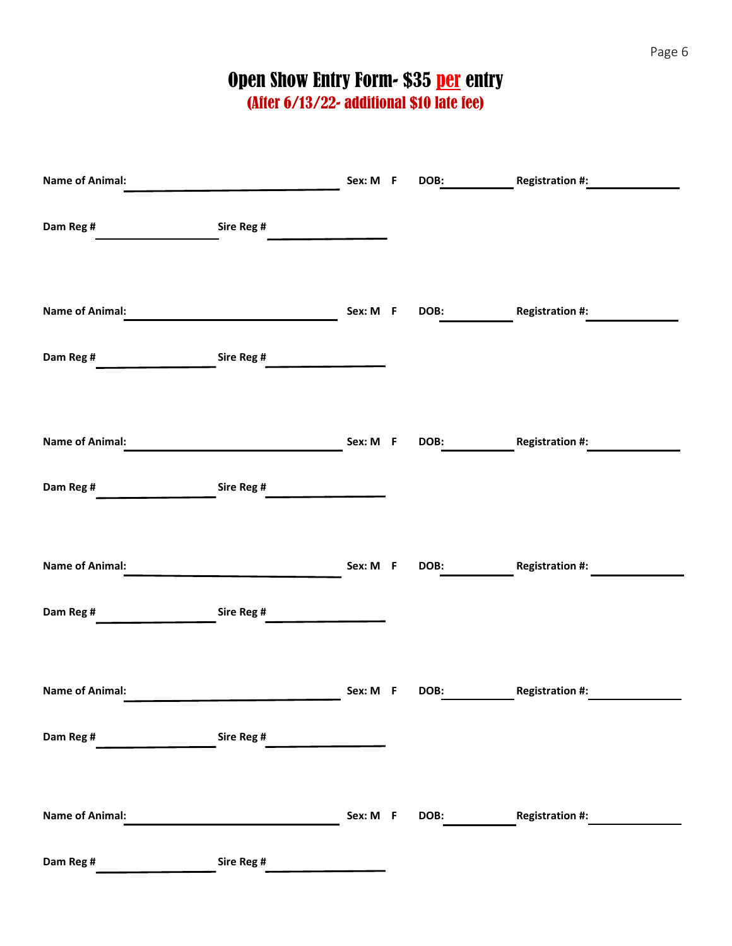# Open Show Entry Form- \$35 per entry

(After 6/13/22- additional \$10 late fee)

| <b>Name of Animal:</b> |                                               | Sex: M F | DOB: |                        |
|------------------------|-----------------------------------------------|----------|------|------------------------|
| Dam Reg #              | Sire Reg #                                    |          |      |                        |
| <b>Name of Animal:</b> |                                               | Sex: M F | DOB: | <b>Registration #:</b> |
|                        |                                               |          |      |                        |
| Dam Reg #              | Sire Reg #<br><u>and the state of the sta</u> |          |      |                        |
|                        |                                               |          |      |                        |
| <b>Name of Animal:</b> |                                               | Sex: M F | DOB: | <b>Registration #:</b> |
| Dam Reg #              | Sire Reg #                                    |          |      |                        |
|                        |                                               |          |      |                        |
| <b>Name of Animal:</b> |                                               | Sex: M F | DOB: | <b>Registration #:</b> |
| Dam Reg #              | Sire Reg #                                    |          |      |                        |
|                        |                                               |          |      |                        |
| <b>Name of Animal:</b> |                                               | Sex: M F | DOB: | <b>Registration #:</b> |
| Dam Reg #              | Sire Reg #                                    |          |      |                        |
|                        |                                               |          |      |                        |
| <b>Name of Animal:</b> |                                               | Sex: M F | DOB: | <b>Registration #:</b> |
| Dam Reg #              | Sire Reg #                                    |          |      |                        |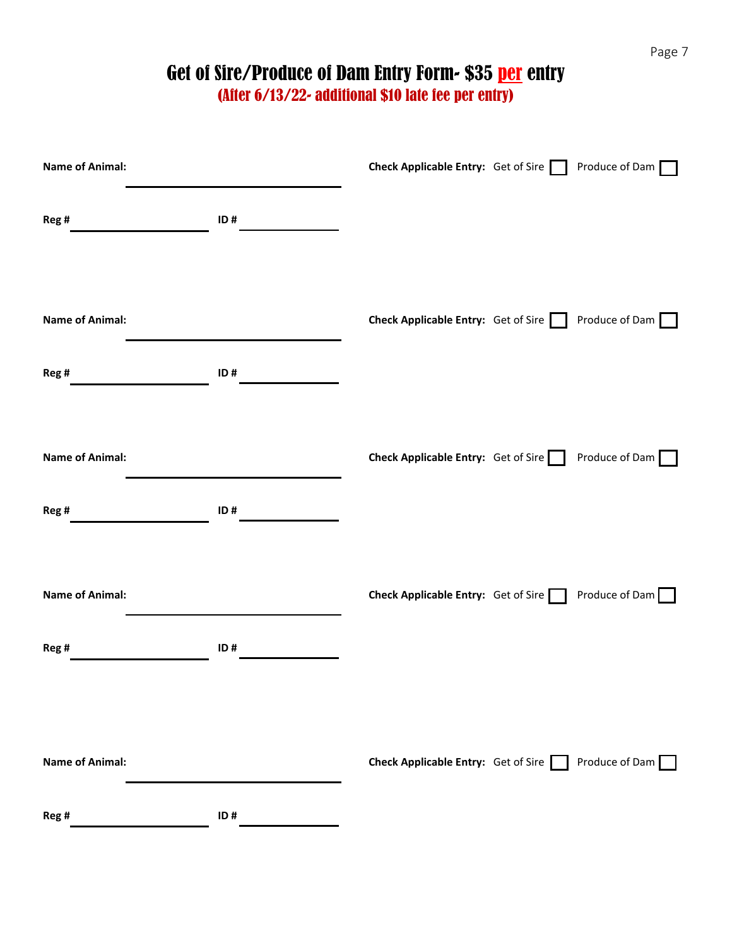Page 7

# Get of Sire/Produce of Dam Entry Form- \$35 **per** entry

| <b>Name of Animal:</b>          |     | Check Applicable Entry: Get of Sire Produce of Dam |                |
|---------------------------------|-----|----------------------------------------------------|----------------|
| Reg#                            | ID# |                                                    |                |
| <b>Name of Animal:</b>          |     | Check Applicable Entry: Get of Sire Produce of Dam |                |
| Reg#<br><b>Name of Animal:</b>  | ID# | Check Applicable Entry: Get of Sire Produce of Dam |                |
| Reg #                           | ID# |                                                    |                |
| <b>Name of Animal:</b><br>Reg # | ID# | <b>Check Applicable Entry:</b> Get of Sire         | Produce of Dam |
|                                 |     |                                                    |                |
| <b>Name of Animal:</b>          |     | Check Applicable Entry: Get of Sire                | Produce of Dam |
| Reg #                           | ID# |                                                    |                |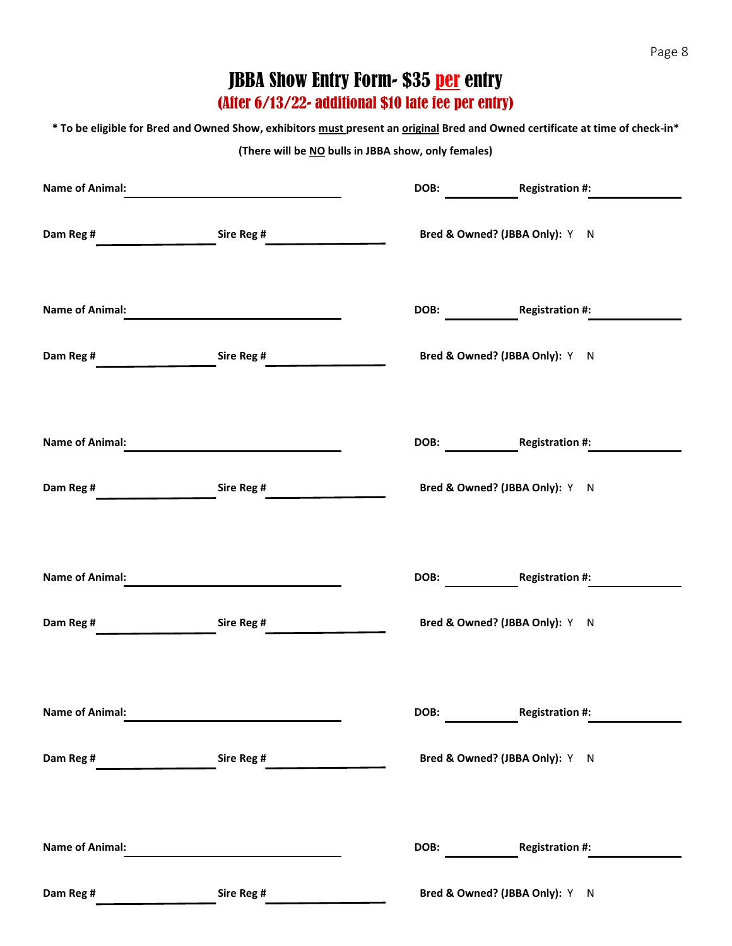## JBBA Show Entry Form- \$35 **per** entry

(After 6/13/22- additional \$10 late fee per entry)

**\* To be eligible for Bred and Owned Show, exhibitors must present an original Bred and Owned certificate at time of check-in\***

#### **(There will be NO bulls in JBBA show, only females)**

| <b>Name of Animal:</b> |            | DOB:                           | <b>Registration #:</b> |
|------------------------|------------|--------------------------------|------------------------|
| Dam Reg #              | Sire Reg # | Bred & Owned? (JBBA Only): Y N |                        |
| <b>Name of Animal:</b> |            | DOB: Registration #:           |                        |
| Dam Reg #              | Sire Reg # | Bred & Owned? (JBBA Only): Y N |                        |
| <b>Name of Animal:</b> |            |                                | DOB: Registration #:   |
| Dam Reg #              | Sire Reg # | Bred & Owned? (JBBA Only): Y N |                        |
|                        |            |                                |                        |
| <b>Name of Animal:</b> |            | DOB:                           | <b>Registration #:</b> |
| Dam Reg #              | Sire Reg # | Bred & Owned? (JBBA Only): Y N |                        |
| <b>Name of Animal:</b> |            | DOB:                           | <b>Registration #:</b> |
| Dam Reg #              | Sire Reg # | Bred & Owned? (JBBA Only): Y N |                        |
|                        |            |                                |                        |
| <b>Name of Animal:</b> |            | DOB:                           | <b>Registration #:</b> |
| Dam Reg #              | Sire Reg # | Bred & Owned? (JBBA Only): Y N |                        |